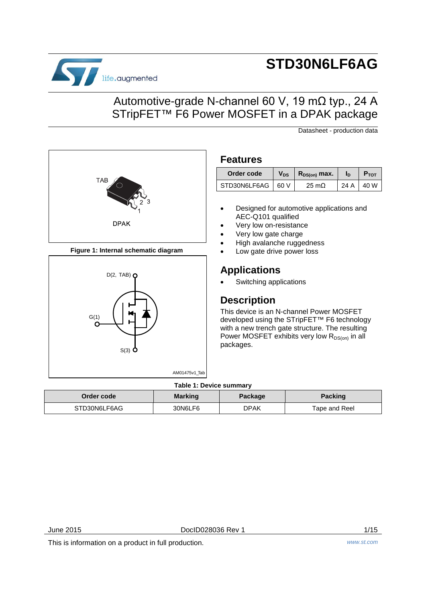

**TAB** 

**Figure 1: Internal schematic diagram**

 $D(2, TAB)$   $\Omega$ 

**DPAK** 

S(3)

 $G(1)$ 

 $\Omega$ 

# **STD30N6LF6AG**

## Automotive-grade N-channel 60 V, 19 mΩ typ., 24 A STripFET<sup>™</sup> F6 Power MOSFET in a DPAK package

Datasheet - production data



### • Designed for automotive applications and AEC-Q101 qualified

- Very low on-resistance
- Very low gate charge
- High avalanche ruggedness
- Low gate drive power loss

## **Applications**

Switching applications

### **Description**

This device is an N-channel Power MOSFET developed using the STripFET™ F6 technology with a new trench gate structure. The resulting Power MOSFET exhibits very low  $R_{DS(on)}$  in all packages.

#### **Table 1: Device summary**

AM01475v1\_Tab

| Order code   | <b>Marking</b> | Package | <b>Packing</b> |
|--------------|----------------|---------|----------------|
| STD30N6LF6AG | 30N6LF6        | DPAK    | Tape and Reel  |

June 2015 DocID028036 Rev 1 1/15

This is information on a product in full production. *www.st.com*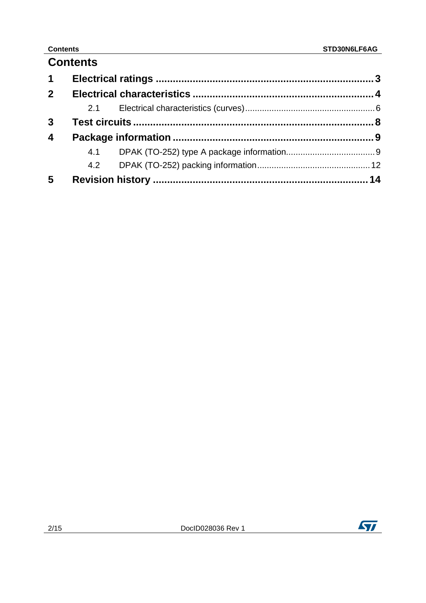## **Contents**

| $\mathbf 1$             |     |  |
|-------------------------|-----|--|
| 2 <sup>1</sup>          |     |  |
|                         | 2.1 |  |
| $\mathbf{3}$            |     |  |
| $\overline{\mathbf{4}}$ |     |  |
|                         |     |  |
|                         |     |  |
| 5                       |     |  |

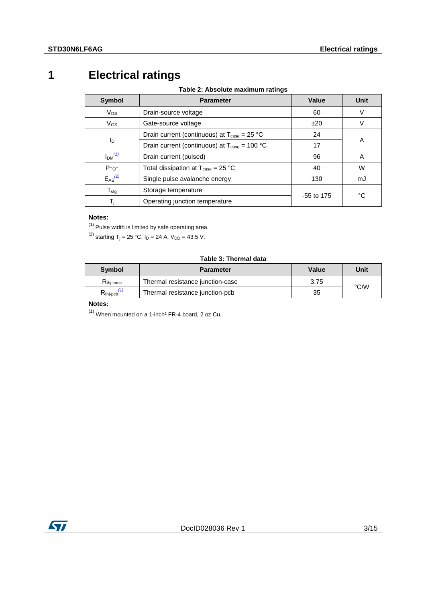## **1 Electrical ratings**

**Table 2: Absolute maximum ratings**

<span id="page-2-0"></span>

| Symbol            | <b>Parameter</b>                                                     | Value        | Unit |
|-------------------|----------------------------------------------------------------------|--------------|------|
| $V_{DS}$          | Drain-source voltage                                                 | 60           | V    |
| $V_{GS}$          | Gate-source voltage                                                  | ±20          | V    |
|                   | Drain current (continuous) at $T_{\text{case}} = 25 \text{ °C}$      | 24           |      |
| $I_{\text{D}}$    | Drain current (continuous) at $T_{\text{case}} = 100 \text{ °C}$     | 17           | A    |
| Im <sup>(1)</sup> | Drain current (pulsed)                                               | 96           | A    |
| $P_{TOT}$         | Total dissipation at $T_{\text{case}} = 25 \text{ }^{\circ}\text{C}$ | 40           | W    |
| $E_{AS}^{(2)}$    | Single pulse avalanche energy                                        | 130          | mJ   |
| $T_{\text{stg}}$  | Storage temperature                                                  | $-55$ to 175 | °C   |
| Τì                | Operating junction temperature                                       |              |      |

#### **Notes:**

<span id="page-2-1"></span> $(1)$  Pulse width is limited by safe operating area.

<span id="page-2-2"></span><sup>(2)</sup> starting T<sub>j</sub> = 25 °C, I<sub>D</sub> = 24 A, V<sub>DD</sub> = 43.5 V.

#### **Table 3: Thermal data**

| Symbol              | <b>Parameter</b>                 | Value | Unit |
|---------------------|----------------------------------|-------|------|
| $R_{\rm thi-case}$  | Thermal resistance junction-case | 3.75  | °C∕W |
| $R_{\text{thipcb}}$ | Thermal resistance junction-pcb  | 35    |      |

#### **Notes:**

 $(1)$  When mounted on a 1-inch<sup>2</sup> FR-4 board, 2 oz Cu.

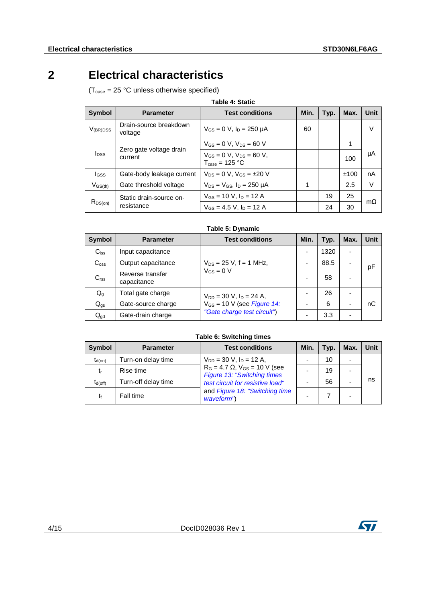## **2 Electrical characteristics**

<span id="page-3-0"></span> $(T_{\text{case}} = 25 \text{ °C}$  unless otherwise specified)

| <b>Symbol</b>           | <b>Parameter</b>                      | <b>Test conditions</b>                                                 | Min. | Typ. | Max. | Unit      |
|-------------------------|---------------------------------------|------------------------------------------------------------------------|------|------|------|-----------|
| $V_{(BR)DSS}$           | Drain-source breakdown<br>voltage     | $V_{GS} = 0$ V, $I_D = 250$ µA                                         | 60   |      |      | V         |
| <b>l</b> <sub>DSS</sub> | Zero gate voltage drain<br>current    | $V_{GS} = 0$ V, $V_{DS} = 60$ V                                        |      |      |      |           |
|                         |                                       | $V_{GS} = 0$ V, $V_{DS} = 60$ V,<br>$T_{\text{case}} = 125 \text{ °C}$ |      |      | 100  | μA        |
| <b>I</b> GSS            | Gate-body leakage current             | $V_{DS} = 0 V$ , $V_{GS} = \pm 20 V$                                   |      |      | ±100 | nA        |
| $V_{GS(th)}$            | Gate threshold voltage                | $V_{DS} = V_{GS}$ , $I_D = 250 \mu A$                                  |      |      | 2.5  | V         |
| $R_{DS(on)}$            | Static drain-source on-<br>resistance | $V_{GS}$ = 10 V, $I_D$ = 12 A                                          |      | 19   | 25   |           |
|                         |                                       | $V_{GS}$ = 4.5 V, $I_D$ = 12 A                                         |      | 24   | 30   | $m\Omega$ |

|  | Table 5: Dynamic |  |
|--|------------------|--|
|  |                  |  |

| <b>Symbol</b>    | <b>Parameter</b>                | <b>Test conditions</b>          | Min. | Typ. | Max.                     | Unit |
|------------------|---------------------------------|---------------------------------|------|------|--------------------------|------|
| $C_{iss}$        | Input capacitance               |                                 |      | 1320 | $\overline{\phantom{0}}$ |      |
| $C_{\text{oss}}$ | Output capacitance              | $V_{DS}$ = 25 V, f = 1 MHz,     |      | 88.5 |                          | рF   |
| C <sub>rss</sub> | Reverse transfer<br>capacitance | $V_{GS} = 0 V$                  |      | 58   |                          |      |
| $Q_g$            | Total gate charge               | $V_{DD}$ = 30 V, $I_D$ = 24 A,  |      | 26   | -                        |      |
| $Q_{gs}$         | Gate-source charge              | $V_{GS}$ = 10 V (see Figure 14: |      | 6    |                          | nС   |
| $Q_{gd}$         | Gate-drain charge               | "Gate charge test circuit")     |      | 3.3  |                          |      |

**Table 6: Switching times**

| <b>Symbol</b> | <b>Parameter</b>    | <b>Test conditions</b>                                                   | Min. | Typ. | Max. | Unit |
|---------------|---------------------|--------------------------------------------------------------------------|------|------|------|------|
| $t_{d(on)}$   | Turn-on delay time  | $V_{DD}$ = 30 V, $I_D$ = 12 A,                                           |      | 10   |      |      |
| t,            | Rise time           | $R_G = 4.7 \Omega$ , $V_{GS} = 10 V$ (see<br>Figure 13: "Switching times |      | 19   |      |      |
| $t_{d(off)}$  | Turn-off delay time | test circuit for resistive load"                                         |      | 56   |      | ns   |
| tŧ            | Fall time           | and Figure 18: "Switching time<br>waveform")                             |      |      |      |      |

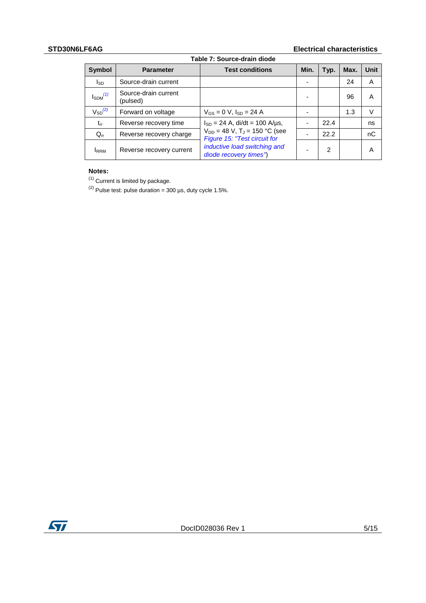#### **STD30N6LF6AG Electrical characteristics**

| Table 7: Source-drain diode |                                  |                                                                               |      |      |      |      |  |
|-----------------------------|----------------------------------|-------------------------------------------------------------------------------|------|------|------|------|--|
| Symbol                      | <b>Parameter</b>                 | <b>Test conditions</b>                                                        | Min. | Typ. | Max. | Unit |  |
| Isp                         | Source-drain current             |                                                                               |      |      | 24   | A    |  |
| $I_{SDM}$ <sup>(1)</sup>    | Source-drain current<br>(pulsed) |                                                                               |      |      | 96   | A    |  |
| $V_{SD}^{(2)}$              | Forward on voltage               | $V_{GS} = 0$ V, $I_{SD} = 24$ A                                               |      |      | 1.3  | V    |  |
| $t_{rr}$                    | Reverse recovery time            | $I_{SD} = 24$ A, di/dt = 100 A/µs,                                            |      | 22.4 |      | ns   |  |
| $Q_{rr}$                    | Reverse recovery charge          | $V_{DD} = 48$ V, T <sub>J</sub> = 150 °C (see<br>Figure 15: "Test circuit for |      | 22.2 |      | nC   |  |
| <b>IRRM</b>                 | Reverse recovery current         | inductive load switching and<br>diode recovery times")                        |      | 2    |      | A    |  |

#### **Notes:**

<span id="page-4-0"></span> $<sup>(1)</sup>$  Current is limited by package.</sup>

<span id="page-4-1"></span>(2) Pulse test: pulse duration =  $300 \text{ }\mu\text{s}$ , duty cycle 1.5%.

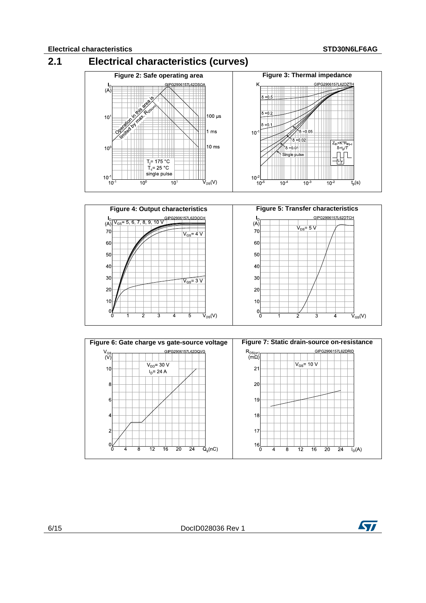<span id="page-5-0"></span>



6/15 DocID028036 Rev 1

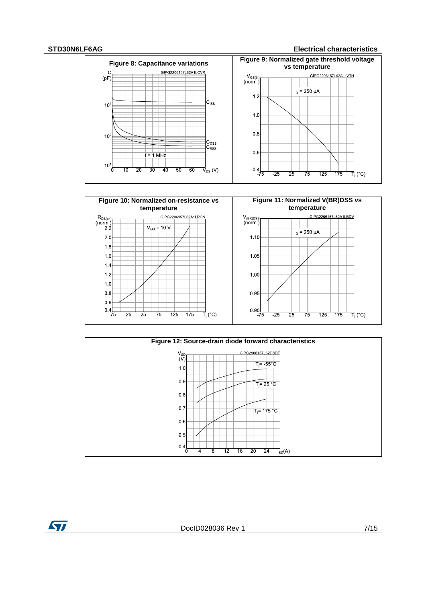#### **STD30N6LF6AG Electrical characteristics**







ST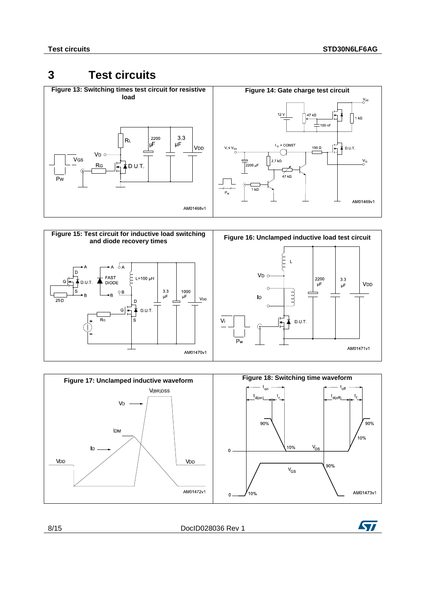## <span id="page-7-1"></span><span id="page-7-0"></span>**3 Test circuits**

<span id="page-7-2"></span>

<span id="page-7-4"></span>

<span id="page-7-3"></span>

| 8/15 | DocID028036 Rev |  |
|------|-----------------|--|
|      |                 |  |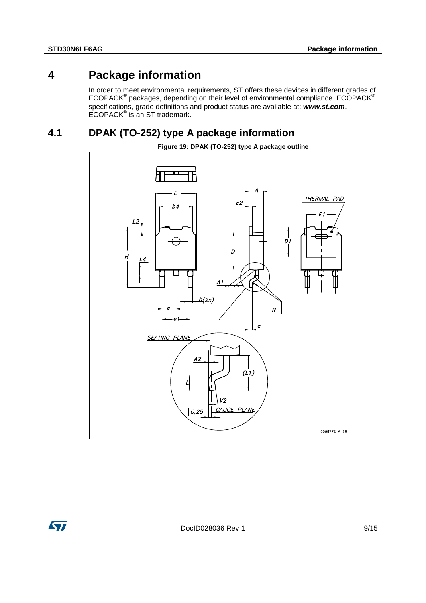## **4 Package information**

<span id="page-8-0"></span>In order to meet environmental requirements, ST offers these devices in different grades of ECOPACK® packages, depending on their level of environmental compliance. ECOPACK® specifications, grade definitions and product status are available at: *www.st.com*.  $ECOPACK^{\circ}$  is an ST trademark.

## **4.1 DPAK (TO-252) type A package information**

<span id="page-8-1"></span>

**Figure 19: DPAK (TO-252) type A package outline**

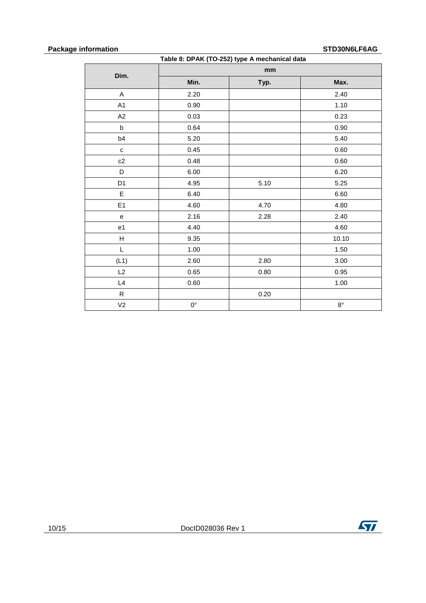#### **Package information STD30N6LF6AG**

| Table 8: DPAK (TO-252) type A mechanical data |             |      |             |  |  |
|-----------------------------------------------|-------------|------|-------------|--|--|
| Dim.                                          |             | mm   |             |  |  |
|                                               | Min.        | Typ. | Max.        |  |  |
| A                                             | 2.20        |      | 2.40        |  |  |
| A1                                            | 0.90        |      | 1.10        |  |  |
| A2                                            | 0.03        |      | 0.23        |  |  |
| $\sf b$                                       | 0.64        |      | 0.90        |  |  |
| b4                                            | 5.20        |      | 5.40        |  |  |
| ${\bf c}$                                     | 0.45        |      | 0.60        |  |  |
| c2                                            | 0.48        |      | 0.60        |  |  |
| D                                             | 6.00        |      | 6.20        |  |  |
| D <sub>1</sub>                                | 4.95        | 5.10 | 5.25        |  |  |
| E                                             | 6.40        |      | 6.60        |  |  |
| E <sub>1</sub>                                | 4.60        | 4.70 | 4.80        |  |  |
| e                                             | 2.16        | 2.28 | 2.40        |  |  |
| e1                                            | 4.40        |      | 4.60        |  |  |
| H                                             | 9.35        |      | 10.10       |  |  |
| L                                             | 1.00        |      | 1.50        |  |  |
| (L1)                                          | 2.60        | 2.80 | 3.00        |  |  |
| L2                                            | 0.65        | 0.80 | 0.95        |  |  |
| L4                                            | 0.60        |      | 1.00        |  |  |
| R                                             |             | 0.20 |             |  |  |
| V <sub>2</sub>                                | $0^{\circ}$ |      | $8^{\circ}$ |  |  |

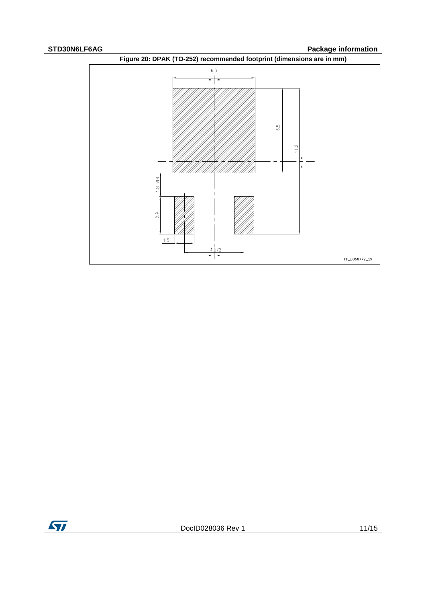**STD30N6LF6AG Package information** 



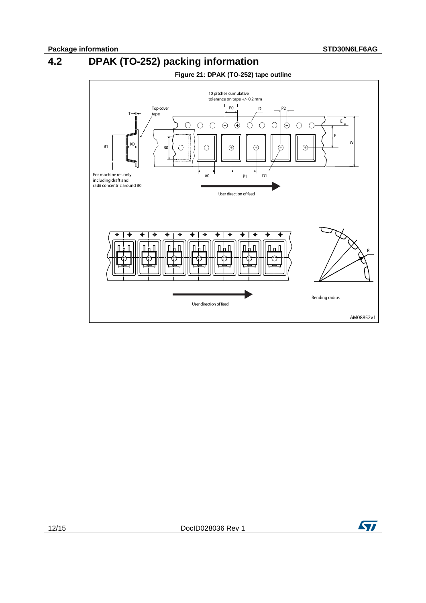

<span id="page-11-0"></span>

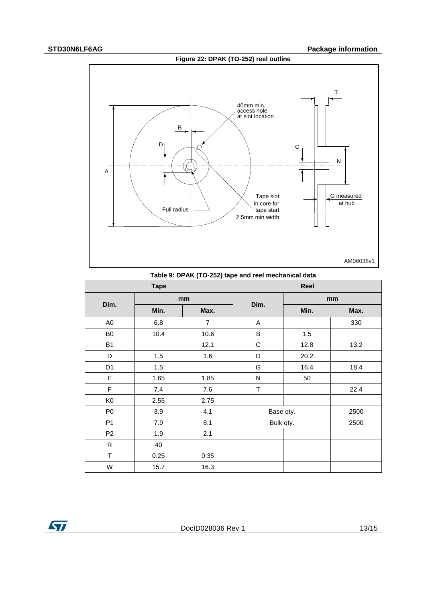### **Figure 22: DPAK (TO-252) reel outline**

#### **STD30N6LF6AG Package information**



| Table 5. Dr AK (TO-202) tape and reef mechanical data |             |                |             |      |      |  |
|-------------------------------------------------------|-------------|----------------|-------------|------|------|--|
|                                                       | <b>Tape</b> |                |             | Reel |      |  |
|                                                       | mm          |                |             | mm   |      |  |
| Dim.                                                  | Min.        | Max.           | Dim.        | Min. | Max. |  |
| A0                                                    | 6.8         | $\overline{7}$ | A           |      | 330  |  |
| B <sub>0</sub>                                        | 10.4        | 10.6           | B           | 1.5  |      |  |
| <b>B1</b>                                             |             | 12.1           | $\mathbf C$ | 12.8 | 13.2 |  |
| D                                                     | 1.5         | 1.6            | D           | 20.2 |      |  |
| D <sub>1</sub>                                        | 1.5         |                | G           | 16.4 | 18.4 |  |
| E                                                     | 1.65        | 1.85           | N           | 50   |      |  |
| $\mathsf F$                                           | 7.4         | 7.6            | T           |      | 22.4 |  |
| K <sub>0</sub>                                        | 2.55        | 2.75           |             |      |      |  |
| P <sub>0</sub>                                        | 3.9         | 4.1            | Base qty.   |      | 2500 |  |
| P <sub>1</sub>                                        | 7.9         | 8.1            | Bulk qty.   |      | 2500 |  |
| P <sub>2</sub>                                        | 1.9         | 2.1            |             |      |      |  |
| $\mathsf{R}$                                          | 40          |                |             |      |      |  |
| T                                                     | 0.25        | 0.35           |             |      |      |  |
| W                                                     | 15.7        | 16.3           |             |      |      |  |

**Table 9: DPAK (TO-252) tape and reel mechanical data**

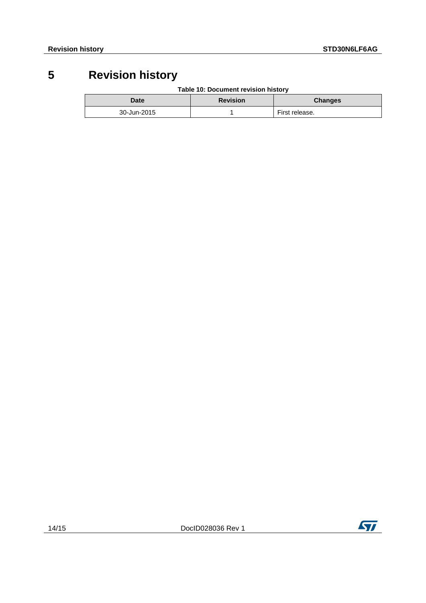## **5 Revision history**

**Table 10: Document revision history**

<span id="page-13-0"></span>

| <b>Date</b> | <b>Revision</b> | <b>Changes</b> |
|-------------|-----------------|----------------|
| 30-Jun-2015 |                 | First release. |